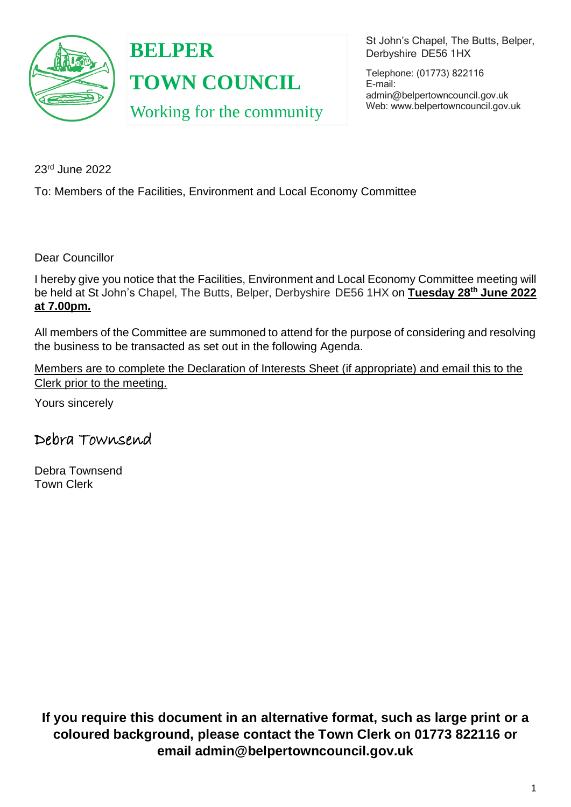

**BELPER TOWN COUNCIL** Working for the community St John's Chapel, The Butts, Belper, Derbyshire DE56 1HX

Telephone: (01773) 822116 E-mail: [admin@belpertowncouncil.gov.uk](mailto:admin@belpertowncouncil.gov.uk) Web: [www.belpertowncouncil.gov.uk](http://www.belpertowncouncil.gov.uk/)

23rd June 2022

To: Members of the Facilities, Environment and Local Economy Committee

Dear Councillor

I hereby give you notice that the Facilities, Environment and Local Economy Committee meeting will be held at St John's Chapel, The Butts, Belper, Derbyshire DE56 1HX on **Tuesday 28th June 2022 at 7.00pm.** 

All members of the Committee are summoned to attend for the purpose of considering and resolving the business to be transacted as set out in the following Agenda.

Members are to complete the Declaration of Interests Sheet (if appropriate) and email this to the Clerk prior to the meeting.

Yours sincerely

Debra Townsend

Debra Townsend Town Clerk

**If you require this document in an alternative format, such as large print or a coloured background, please contact the Town Clerk on 01773 822116 or email admin@belpertowncouncil.gov.uk**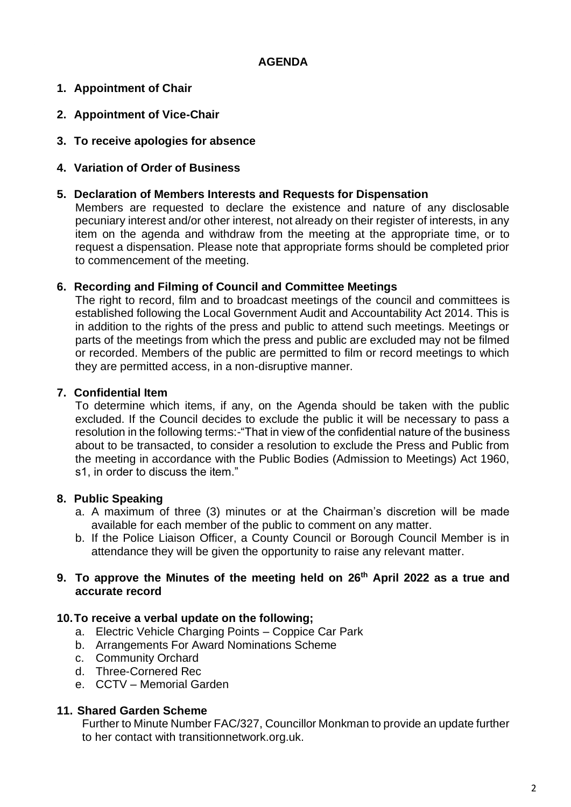# **AGENDA**

# **1. Appointment of Chair**

- **2. Appointment of Vice-Chair**
- **3. To receive apologies for absence**
- **4. Variation of Order of Business**

#### **5. Declaration of Members Interests and Requests for Dispensation**

Members are requested to declare the existence and nature of any disclosable pecuniary interest and/or other interest, not already on their register of interests, in any item on the agenda and withdraw from the meeting at the appropriate time, or to request a dispensation. Please note that appropriate forms should be completed prior to commencement of the meeting.

### **6. Recording and Filming of Council and Committee Meetings**

The right to record, film and to broadcast meetings of the council and committees is established following the Local Government Audit and Accountability Act 2014. This is in addition to the rights of the press and public to attend such meetings. Meetings or parts of the meetings from which the press and public are excluded may not be filmed or recorded. Members of the public are permitted to film or record meetings to which they are permitted access, in a non-disruptive manner.

### **7. Confidential Item**

To determine which items, if any, on the Agenda should be taken with the public excluded. If the Council decides to exclude the public it will be necessary to pass a resolution in the following terms:-"That in view of the confidential nature of the business about to be transacted, to consider a resolution to exclude the Press and Public from the meeting in accordance with the Public Bodies (Admission to Meetings) Act 1960, s1, in order to discuss the item."

# **8. Public Speaking**

- a. A maximum of three (3) minutes or at the Chairman's discretion will be made available for each member of the public to comment on any matter.
- b. If the Police Liaison Officer, a County Council or Borough Council Member is in attendance they will be given the opportunity to raise any relevant matter.

#### **9. To approve the Minutes of the meeting held on 26th April 2022 as a true and accurate record**

#### **10.To receive a verbal update on the following;**

- a. Electric Vehicle Charging Points Coppice Car Park
- b. Arrangements For Award Nominations Scheme
- c. Community Orchard
- d. Three-Cornered Rec
- e. CCTV Memorial Garden

#### **11. Shared Garden Scheme**

Further to Minute Number FAC/327, Councillor Monkman to provide an update further to her contact with transitionnetwork.org.uk.